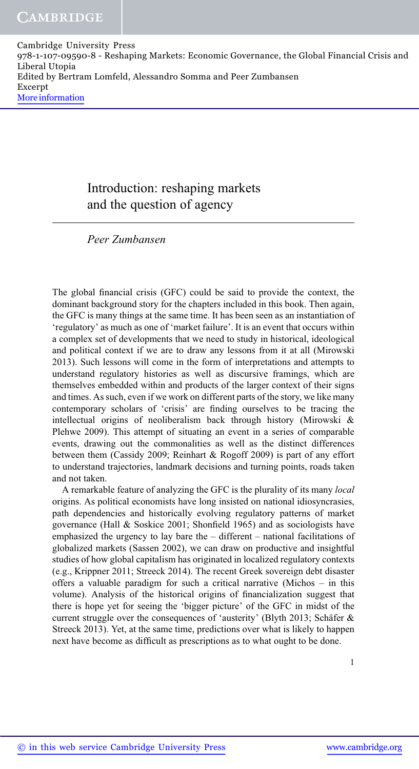## Introduction: reshaping markets and the question of agency

Peer Zumbansen

The global financial crisis (GFC) could be said to provide the context, the dominant background story for the chapters included in this book. Then again, the GFC is many things at the same time. It has been seen as an instantiation of 'regulatory' as much as one of 'market failure'. It is an event that occurs within a complex set of developments that we need to study in historical, ideological and political context if we are to draw any lessons from it at all (Mirowski 2013). Such lessons will come in the form of interpretations and attempts to understand regulatory histories as well as discursive framings, which are themselves embedded within and products of the larger context of their signs and times. As such, even if we work on different parts of the story, we like many contemporary scholars of 'crisis' are finding ourselves to be tracing the intellectual origins of neoliberalism back through history (Mirowski & Plehwe 2009). This attempt of situating an event in a series of comparable events, drawing out the commonalities as well as the distinct differences between them (Cassidy 2009; Reinhart & Rogoff 2009) is part of any effort to understand trajectories, landmark decisions and turning points, roads taken and not taken.

A remarkable feature of analyzing the GFC is the plurality of its many local origins. As political economists have long insisted on national idiosyncrasies, path dependencies and historically evolving regulatory patterns of market governance (Hall & Soskice 2001; Shonfield 1965) and as sociologists have emphasized the urgency to lay bare the – different – national facilitations of globalized markets (Sassen 2002), we can draw on productive and insightful studies of how global capitalism has originated in localized regulatory contexts (e.g., Krippner 2011; Streeck 2014). The recent Greek sovereign debt disaster offers a valuable paradigm for such a critical narrative (Michos – in this volume). Analysis of the historical origins of financialization suggest that there is hope yet for seeing the 'bigger picture' of the GFC in midst of the current struggle over the consequences of 'austerity' (Blyth 2013; Schäfer & Streeck 2013). Yet, at the same time, predictions over what is likely to happen next have become as difficult as prescriptions as to what ought to be done.

1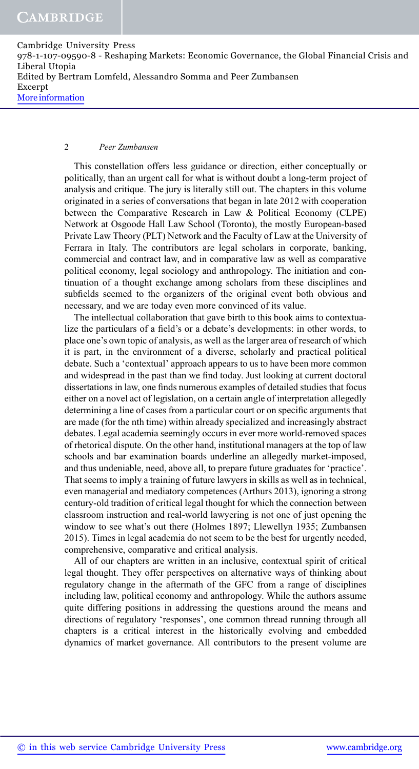### 2 Peer Zumbansen

This constellation offers less guidance or direction, either conceptually or politically, than an urgent call for what is without doubt a long-term project of analysis and critique. The jury is literally still out. The chapters in this volume originated in a series of conversations that began in late 2012 with cooperation between the Comparative Research in Law & Political Economy (CLPE) Network at Osgoode Hall Law School (Toronto), the mostly European-based Private Law Theory (PLT) Network and the Faculty of Law at the University of Ferrara in Italy. The contributors are legal scholars in corporate, banking, commercial and contract law, and in comparative law as well as comparative political economy, legal sociology and anthropology. The initiation and continuation of a thought exchange among scholars from these disciplines and subfields seemed to the organizers of the original event both obvious and necessary, and we are today even more convinced of its value.

The intellectual collaboration that gave birth to this book aims to contextualize the particulars of a field's or a debate's developments: in other words, to place one's own topic of analysis, as well as the larger area of research of which it is part, in the environment of a diverse, scholarly and practical political debate. Such a 'contextual' approach appears to us to have been more common and widespread in the past than we find today. Just looking at current doctoral dissertations in law, one finds numerous examples of detailed studies that focus either on a novel act of legislation, on a certain angle of interpretation allegedly determining a line of cases from a particular court or on specific arguments that are made (for the nth time) within already specialized and increasingly abstract debates. Legal academia seemingly occurs in ever more world-removed spaces of rhetorical dispute. On the other hand, institutional managers at the top of law schools and bar examination boards underline an allegedly market-imposed, and thus undeniable, need, above all, to prepare future graduates for 'practice'. That seems to imply a training of future lawyers in skills as well as in technical, even managerial and mediatory competences (Arthurs 2013), ignoring a strong century-old tradition of critical legal thought for which the connection between classroom instruction and real-world lawyering is not one of just opening the window to see what's out there (Holmes 1897; Llewellyn 1935; Zumbansen 2015). Times in legal academia do not seem to be the best for urgently needed, comprehensive, comparative and critical analysis.

All of our chapters are written in an inclusive, contextual spirit of critical legal thought. They offer perspectives on alternative ways of thinking about regulatory change in the aftermath of the GFC from a range of disciplines including law, political economy and anthropology. While the authors assume quite differing positions in addressing the questions around the means and directions of regulatory 'responses', one common thread running through all chapters is a critical interest in the historically evolving and embedded dynamics of market governance. All contributors to the present volume are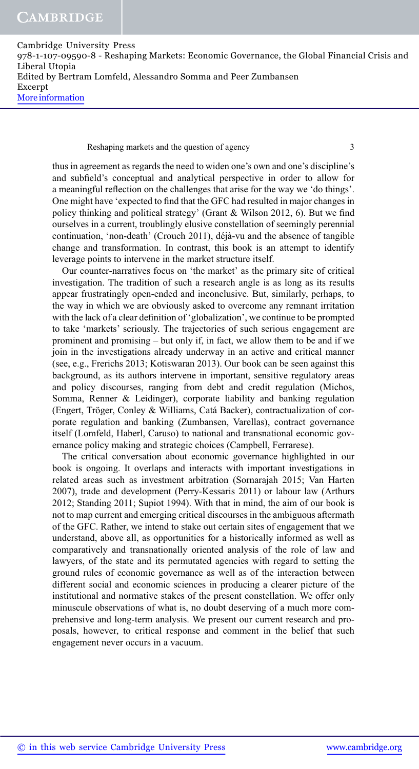Reshaping markets and the question of agency 3

thus in agreement as regards the need to widen one's own and one's discipline's and subfield's conceptual and analytical perspective in order to allow for a meaningful reflection on the challenges that arise for the way we 'do things'. One might have 'expected to find that the GFC had resulted in major changes in policy thinking and political strategy' (Grant & Wilson 2012, 6). But we find ourselves in a current, troublingly elusive constellation of seemingly perennial continuation, 'non-death' (Crouch 2011), déjà-vu and the absence of tangible change and transformation. In contrast, this book is an attempt to identify leverage points to intervene in the market structure itself.

Our counter-narratives focus on 'the market' as the primary site of critical investigation. The tradition of such a research angle is as long as its results appear frustratingly open-ended and inconclusive. But, similarly, perhaps, to the way in which we are obviously asked to overcome any remnant irritation with the lack of a clear definition of 'globalization', we continue to be prompted to take 'markets' seriously. The trajectories of such serious engagement are prominent and promising – but only if, in fact, we allow them to be and if we join in the investigations already underway in an active and critical manner (see, e.g., Frerichs 2013; Kotiswaran 2013). Our book can be seen against this background, as its authors intervene in important, sensitive regulatory areas and policy discourses, ranging from debt and credit regulation (Michos, Somma, Renner & Leidinger), corporate liability and banking regulation (Engert, Tröger, Conley & Williams, Catá Backer), contractualization of corporate regulation and banking (Zumbansen, Varellas), contract governance itself (Lomfeld, Haberl, Caruso) to national and transnational economic governance policy making and strategic choices (Campbell, Ferrarese).

The critical conversation about economic governance highlighted in our book is ongoing. It overlaps and interacts with important investigations in related areas such as investment arbitration (Sornarajah 2015; Van Harten 2007), trade and development (Perry-Kessaris 2011) or labour law (Arthurs 2012; Standing 2011; Supiot 1994). With that in mind, the aim of our book is not to map current and emerging critical discourses in the ambiguous aftermath of the GFC. Rather, we intend to stake out certain sites of engagement that we understand, above all, as opportunities for a historically informed as well as comparatively and transnationally oriented analysis of the role of law and lawyers, of the state and its permutated agencies with regard to setting the ground rules of economic governance as well as of the interaction between different social and economic sciences in producing a clearer picture of the institutional and normative stakes of the present constellation. We offer only minuscule observations of what is, no doubt deserving of a much more comprehensive and long-term analysis. We present our current research and proposals, however, to critical response and comment in the belief that such engagement never occurs in a vacuum.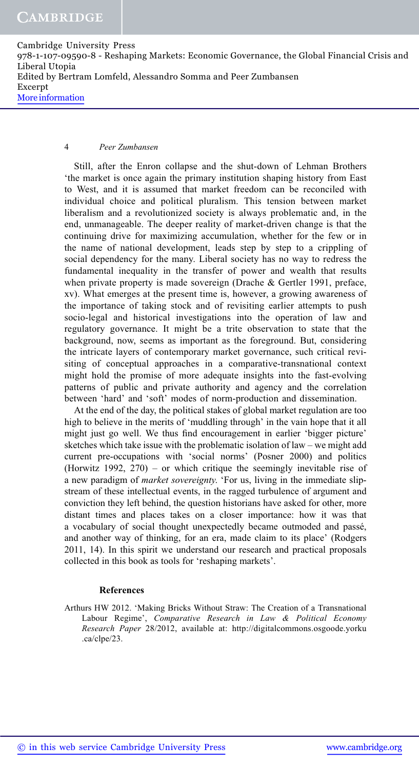### 4 Peer Zumbansen

Still, after the Enron collapse and the shut-down of Lehman Brothers 'the market is once again the primary institution shaping history from East to West, and it is assumed that market freedom can be reconciled with individual choice and political pluralism. This tension between market liberalism and a revolutionized society is always problematic and, in the end, unmanageable. The deeper reality of market-driven change is that the continuing drive for maximizing accumulation, whether for the few or in the name of national development, leads step by step to a crippling of social dependency for the many. Liberal society has no way to redress the fundamental inequality in the transfer of power and wealth that results when private property is made sovereign (Drache & Gertler 1991, preface, xv). What emerges at the present time is, however, a growing awareness of the importance of taking stock and of revisiting earlier attempts to push socio-legal and historical investigations into the operation of law and regulatory governance. It might be a trite observation to state that the background, now, seems as important as the foreground. But, considering the intricate layers of contemporary market governance, such critical revisiting of conceptual approaches in a comparative-transnational context might hold the promise of more adequate insights into the fast-evolving patterns of public and private authority and agency and the correlation between 'hard' and 'soft' modes of norm-production and dissemination.

At the end of the day, the political stakes of global market regulation are too high to believe in the merits of 'muddling through' in the vain hope that it all might just go well. We thus find encouragement in earlier 'bigger picture' sketches which take issue with the problematic isolation of law – we might add current pre-occupations with 'social norms' (Posner 2000) and politics (Horwitz 1992, 270) – or which critique the seemingly inevitable rise of a new paradigm of market sovereignty. 'For us, living in the immediate slipstream of these intellectual events, in the ragged turbulence of argument and conviction they left behind, the question historians have asked for other, more distant times and places takes on a closer importance: how it was that a vocabulary of social thought unexpectedly became outmoded and passé, and another way of thinking, for an era, made claim to its place' (Rodgers 2011, 14). In this spirit we understand our research and practical proposals collected in this book as tools for 'reshaping markets'.

#### References

Arthurs HW 2012. 'Making Bricks Without Straw: The Creation of a Transnational Labour Regime', Comparative Research in Law & Political Economy Research Paper 28/2012, available at: http://digitalcommons.osgoode.yorku .ca/clpe/23.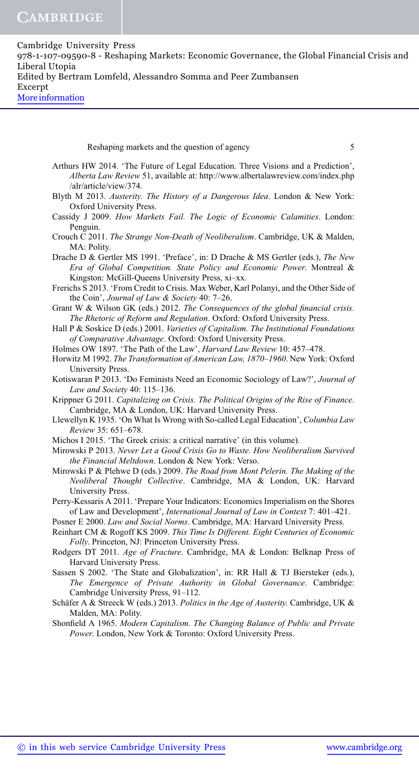Reshaping markets and the question of agency 5

Arthurs HW 2014. 'The Future of Legal Education. Three Visions and a Prediction', Alberta Law Review 51, available at: http://www.albertalawreview.com/index.php /alr/article/view/374.

- Blyth M 2013. Austerity. The History of a Dangerous Idea. London & New York: Oxford University Press.
- Cassidy J 2009. How Markets Fail. The Logic of Economic Calamities. London: Penguin.
- Crouch C 2011. The Strange Non-Death of Neoliberalism. Cambridge, UK & Malden, MA: Polity.

Drache D & Gertler MS 1991. 'Preface', in: D Drache & MS Gertler (eds.), The New Era of Global Competition. State Policy and Economic Power. Montreal & Kingston: McGill-Queens University Press, xi–xx.

- Frerichs S 2013. 'From Credit to Crisis. Max Weber, Karl Polanyi, and the Other Side of the Coin', Journal of Law & Society 40: 7-26.
- Grant W & Wilson GK (eds.) 2012. The Consequences of the global financial crisis. The Rhetoric of Reform and Regulation. Oxford: Oxford University Press.
- Hall P & Soskice D (eds.) 2001. *Varieties of Capitalism. The Institutional Foundations* of Comparative Advantage. Oxford: Oxford University Press.

Holmes OW 1897. 'The Path of the Law', Harvard Law Review 10: 457–478.

- Horwitz M 1992. The Transformation of American Law, 1870–1960. New York: Oxford University Press.
- Kotiswaran P 2013. 'Do Feminists Need an Economic Sociology of Law?', Journal of Law and Society 40: 115–136.

Krippner G 2011. Capitalizing on Crisis. The Political Origins of the Rise of Finance. Cambridge, MA & London, UK: Harvard University Press.

Llewellyn K 1935. 'On What Is Wrong with So-called Legal Education', Columbia Law Review 35: 651–678.

Michos I 2015. 'The Greek crisis: a critical narrative' (in this volume).

- Mirowski P 2013. Never Let a Good Crisis Go to Waste. How Neoliberalism Survived the Financial Meltdown. London & New York: Verso.
- Mirowski P & Plehwe D (eds.) 2009. The Road from Mont Pelerin. The Making of the Neoliberal Thought Collective. Cambridge, MA & London, UK: Harvard University Press.

Perry-Kessaris A 2011. 'Prepare Your Indicators: Economics Imperialism on the Shores of Law and Development', International Journal of Law in Context 7: 401–421.

Posner E 2000. Law and Social Norms. Cambridge, MA: Harvard University Press.

Reinhart CM & Rogoff KS 2009. This Time Is Different. Eight Centuries of Economic Folly. Princeton, NJ: Princeton University Press.

Rodgers DT 2011. Age of Fracture. Cambridge, MA & London: Belknap Press of Harvard University Press.

- Sassen S 2002. 'The State and Globalization', in: RR Hall & TJ Biersteker (eds.), The Emergence of Private Authority in Global Governance. Cambridge: Cambridge University Press, 91–112.
- Schäfer A & Streeck W (eds.) 2013. Politics in the Age of Austerity. Cambridge, UK & Malden, MA: Polity.
- Shonfield A 1965. Modern Capitalism. The Changing Balance of Public and Private Power. London, New York & Toronto: Oxford University Press.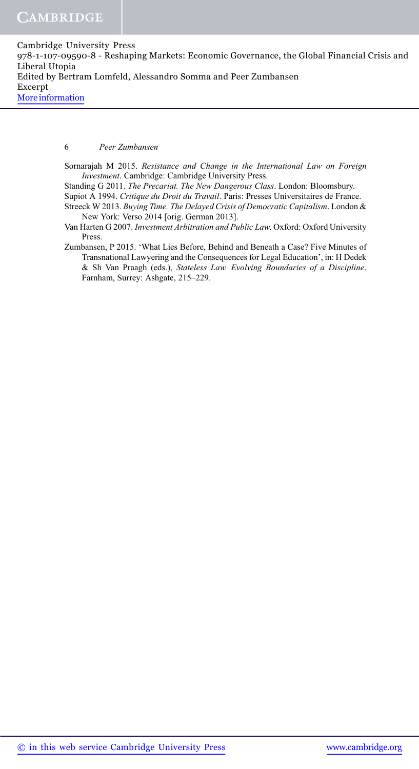6 Peer Zumbansen

- Sornarajah M 2015. Resistance and Change in the International Law on Foreign Investment. Cambridge: Cambridge University Press.
- Standing G 2011. The Precariat. The New Dangerous Class. London: Bloomsbury.
- Supiot A 1994. Critique du Droit du Travail. Paris: Presses Universitaires de France.
- Streeck W 2013. Buying Time. The Delayed Crisis of Democratic Capitalism. London & New York: Verso 2014 [orig. German 2013].
- Van Harten G 2007. Investment Arbitration and Public Law. Oxford: Oxford University Press.
- Zumbansen, P 2015. 'What Lies Before, Behind and Beneath a Case? Five Minutes of Transnational Lawyering and the Consequences for Legal Education', in: H Dedek & Sh Van Praagh (eds.), Stateless Law. Evolving Boundaries of a Discipline. Farnham, Surrey: Ashgate, 215–229.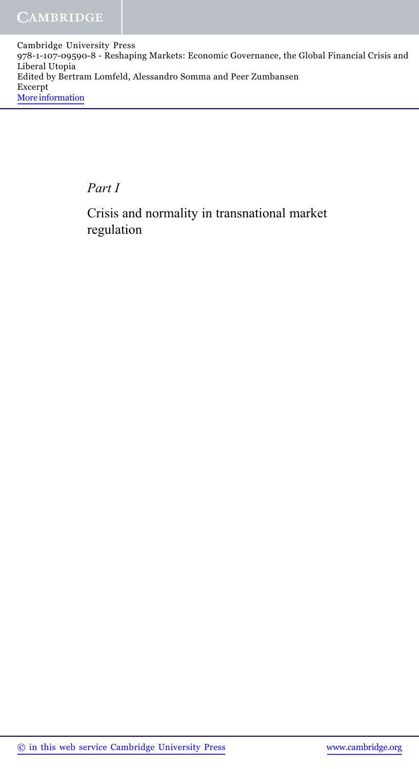Part I

Crisis and normality in transnational market regulation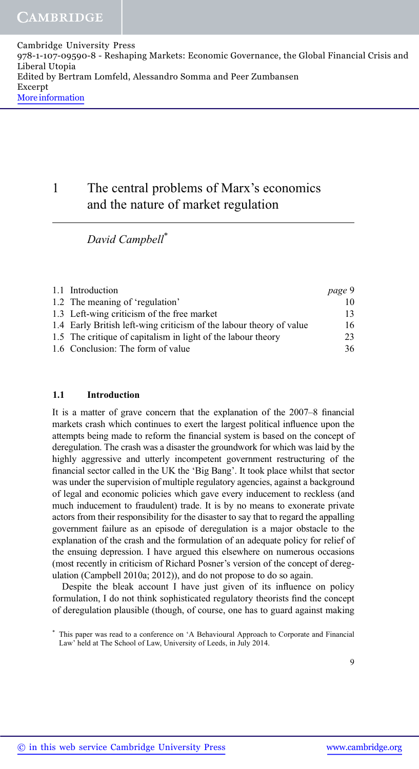# 1 The central problems of Marx's economics and the nature of market regulation

David Campbell\*

| 1.1 Introduction                                                    | page 9 |
|---------------------------------------------------------------------|--------|
| 1.2 The meaning of 'regulation'                                     | 10     |
| 1.3 Left-wing criticism of the free market                          | 13     |
| 1.4 Early British left-wing criticism of the labour theory of value | 16     |
| 1.5 The critique of capitalism in light of the labour theory        | 23     |
| 1.6 Conclusion: The form of value                                   | 36     |

## 1.1 Introduction

It is a matter of grave concern that the explanation of the 2007–8 financial markets crash which continues to exert the largest political influence upon the attempts being made to reform the financial system is based on the concept of deregulation. The crash was a disaster the groundwork for which was laid by the highly aggressive and utterly incompetent government restructuring of the financial sector called in the UK the 'Big Bang'. It took place whilst that sector was under the supervision of multiple regulatory agencies, against a background of legal and economic policies which gave every inducement to reckless (and much inducement to fraudulent) trade. It is by no means to exonerate private actors from their responsibility for the disaster to say that to regard the appalling government failure as an episode of deregulation is a major obstacle to the explanation of the crash and the formulation of an adequate policy for relief of the ensuing depression. I have argued this elsewhere on numerous occasions (most recently in criticism of Richard Posner's version of the concept of deregulation (Campbell 2010a; 2012)), and do not propose to do so again.

Despite the bleak account I have just given of its influence on policy formulation, I do not think sophisticated regulatory theorists find the concept of deregulation plausible (though, of course, one has to guard against making

This paper was read to a conference on 'A Behavioural Approach to Corporate and Financial Law' held at The School of Law, University of Leeds, in July 2014.